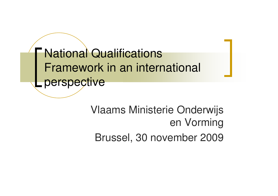**National Qualifications** Framework in an international perspective

> Vlaams Ministerie Onderwijs en Vorming Brussel, 30 november 2009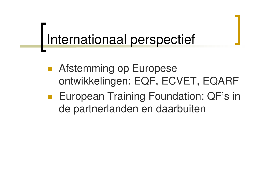### Internationaal perspectief

- **Afstemming op Europese** ontwikkelingen: EQF, ECVET, EQARF
- **European Training Foundation: QF's in** de partnerlanden en daarbuiten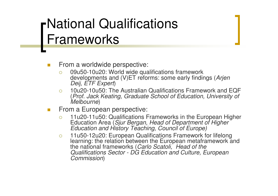### National Qualifications Frameworks

- $\mathcal{L}_{\mathcal{A}}$ **Filter From a worldwide perspective:** 
	- $\circ$  09u50-10u20: World wide qualifications framework developments and (V)ET reforms: some early findings (*Arjen Deij, ETF Expert*)
	- $\Omega$  10u20-10u50: The Australian Qualifications Framework and EQF (*Prof. Jack Keating, Graduate School of Education, University of Melbourne*)
- $\mathcal{L}_{\mathcal{A}}$ **Filter From a European perspective:** 
	- $\circ$  11u20-11u50: Qualifications Frameworks in the European Higher Education Area (*Sjur Bergan, Head of Department of Higher Education and History Teaching, Council of Europe)*
	- $\circ$  11u50-12u20: European Qualifications Framework for lifelong learning: the relation between the European metaframework and the national frameworks (*Carlo Scatoli, Head of the Qualifications Sector - DG Education and Culture, European Commission*)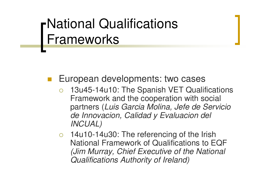#### National Qualifications Frameworks

- European developments: two cases
	- $\overline{O}$  13u45-14u10: The Spanish VET Qualifications Framework and the cooperation with social partners (*Luis Garcia Molina, Jefe de Servicio de Innovacion, Calidad y Evaluacion del INCUAL)*
	- o 14u10-14u30: The referencing of the Irish National Framework of Qualifications to EQF *(Jim Murray, Chief Executive of the National Qualifications Authority of Ireland)*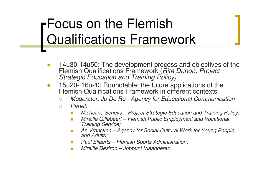### Focus on the Flemish Qualifications Framework

- **T** ■ 14u30-14u50: The development process and objectives of the Flemish Qualifications Framework (*Rita Dunon, Project Strategic Education and Training Policy)*
- $\mathcal{L}_{\mathcal{A}}$  15u20- 16u20: Roundtable: the future applications of the Flemish Qualifications Framework in different contexts
	- $\circ$ *Moderator: Jo De Ro - Agency for Educational Communication*
	- $\Omega$  *Panel:*
		- П *Micheline Scheys – Project Strategic Education and Training Policy;*
		- $\mathbf{r}$  *Mireille Gillebeert – Flemish Public Employment and Vocational Training Service;*
		- $\mathcal{L}^{\mathcal{A}}$  *An Vrancken – Agency for Social-Cultural Work for Young People and Adults;*
		- $\sim$ *Paul Eliaerts – Flemish Sports Administration;*
		- $\mathcal{L}_{\mathrm{eff}}$ *Mireille Déziron – Jobpunt Vlaanderen*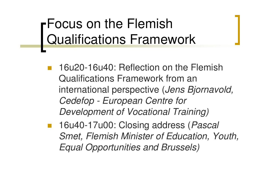### Focus on the Flemish Qualifications Framework

- 16u20-16u40: Reflection on the Flemish Qualifications Framework from an international perspective (*Jens Bjornavold, Cedefop - European Centre for Development of Vocational Training)*
- in.<br>Ma 16u40-17u00: Closing address (*Pascal Smet, Flemish Minister of Education, Youth, Equal Opportunities and Brussels)*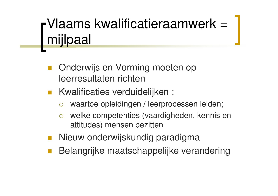### Vlaams kwalificatieraamwerk <sup>=</sup> mijlpaal

- Onderwijs en Vorming moeten op leerresultaten richten
- **Kwalificaties verduidelijken:** 
	- $\bigcirc$ waartoe opleidingen / leerprocessen leiden;
	- $\overline{O}$  welke competenties (vaardigheden, kennis en attitudes) mensen bezitten
- Nieuw onderwijskundig paradigma
- Belangrijke maatschappelijke verandering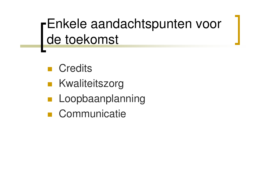Enkele aandachtspunten voor de toekomst

- **Credits**
- **Kwaliteitszorg**
- Loopbaanplanning
- **Communicatie**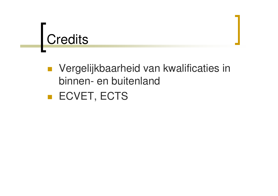## **Credits**

 Vergelijkbaarheid van kwalificaties in binnen- en buitenland

**ECVET, ECTS**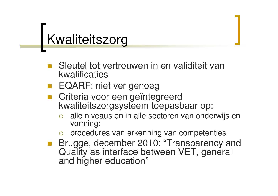### Kwaliteitszorg

- Sleutel tot vertrouwen in en validiteit van kwalificaties
- **EQARF: niet ver genoeg**
- **Criteria voor een geïntegreerd** kwaliteitszorgsysteem toepasbaar op:
	- $\bigcirc$  alle niveaus en in alle sectoren van onderwijs en vorming;
	- $\bigcirc$ procedures van erkenning van competenties
- **Brugge, december 2010: "Transparency and** Quality as interface between VET, general and higher education"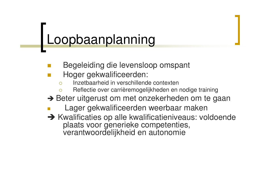## Loopbaanplanning

- Begeleiding die levensloop omspant
- Hoger gekwalificeerden:
	- $\Omega$ Inzetbaarheid in verschillende contexten
	- $\bigcap$ Reflectie over carrièremogelijkheden en nodige training
- → Beter uitgerust om met onzekerheden om te gaan
- m, Lager gekwalificeerden weerbaar maken
- $\rightarrow$  Kwalificaties op alle kwalificatieniveaus: voldoende plaats voor generieke competenties, verantwoordelijkheid en autonomie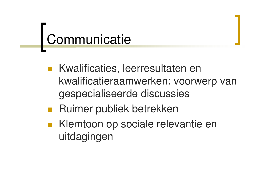### Communicatie

- Kwalificaties, leerresultaten en kwalificatieraamwerken: voorwerp van gespecialiseerde discussies
- Ruimer publiek betrekken
- Klemtoon op sociale relevantie en uitdagingen